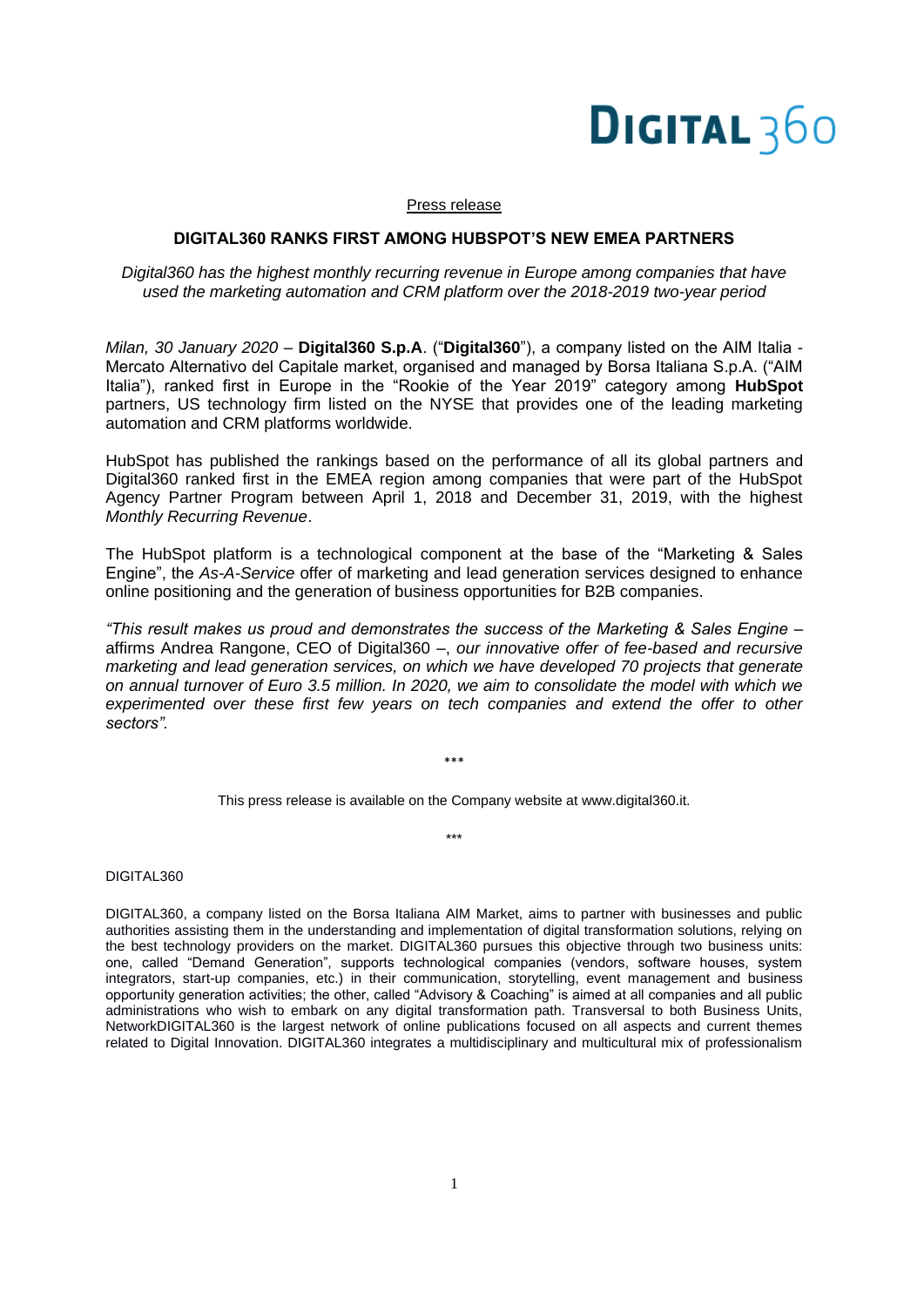# **DIGITAL 360**

#### Press release

### **DIGITAL360 RANKS FIRST AMONG HUBSPOT'S NEW EMEA PARTNERS**

## *Digital360 has the highest monthly recurring revenue in Europe among companies that have used the marketing automation and CRM platform over the 2018-2019 two-year period*

*Milan, 30 January 2020* – **Digital360 S.p.A**. ("**Digital360**"), a company listed on the AIM Italia - Mercato Alternativo del Capitale market, organised and managed by Borsa Italiana S.p.A. ("AIM Italia"), ranked first in Europe in the "Rookie of the Year 2019" category among **HubSpot** partners, US technology firm listed on the NYSE that provides one of the leading marketing automation and CRM platforms worldwide.

HubSpot has [published the rankings](https://www.hubspot.com/impact-awards/performance-based) based on the performance of all its global partners and Digital360 ranked first in the EMEA region among companies that were part of the HubSpot Agency Partner Program between April 1, 2018 and December 31, 2019, with the highest *Monthly Recurring Revenue*.

The HubSpot platform is a technological component at the base of the "Marketing & Sales Engine", the *As-A-Service* offer of marketing and lead generation services designed to enhance online positioning and the generation of business opportunities for B2B companies.

*"This result makes us proud and demonstrates the success of the Marketing & Sales Engine* – affirms Andrea Rangone, CEO of Digital360 –, *our innovative offer of fee-based and recursive marketing and lead generation services, on which we have developed 70 projects that generate on annual turnover of Euro 3.5 million. In 2020, we aim to consolidate the model with which we experimented over these first few years on tech companies and extend the offer to other sectors".*

\*\*\*

This press release is available on the Company website at www.digital360.it.

\*\*\*

DIGITAL360

DIGITAL360, a company listed on the Borsa Italiana AIM Market, aims to partner with businesses and public authorities assisting them in the understanding and implementation of digital transformation solutions, relying on the best technology providers on the market. DIGITAL360 pursues this objective through two business units: one, called "Demand Generation", supports technological companies (vendors, software houses, system integrators, start-up companies, etc.) in their communication, storytelling, event management and business opportunity generation activities; the other, called "Advisory & Coaching" is aimed at all companies and all public administrations who wish to embark on any digital transformation path. Transversal to both Business Units, NetworkDIGITAL360 is the largest network of online publications focused on all aspects and current themes related to Digital Innovation. DIGITAL360 integrates a multidisciplinary and multicultural mix of professionalism